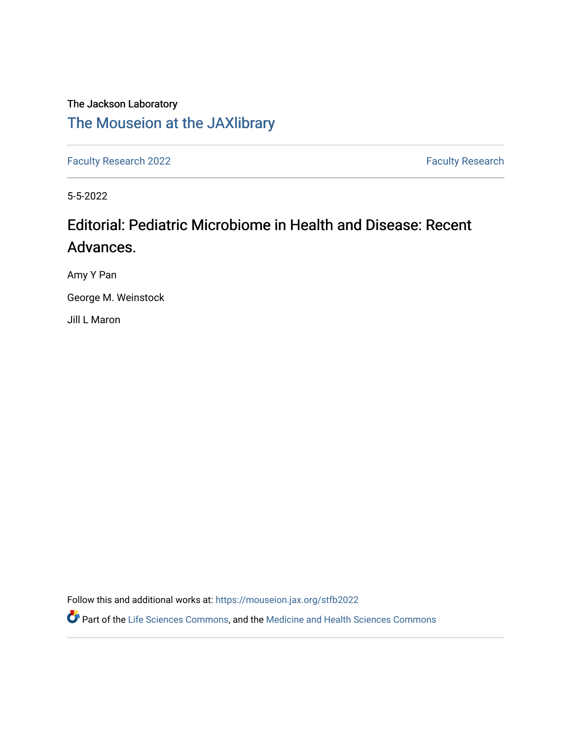## The Jackson Laboratory [The Mouseion at the JAXlibrary](https://mouseion.jax.org/)

[Faculty Research 2022](https://mouseion.jax.org/stfb2022) **Faculty Research** 2022

5-5-2022

## Editorial: Pediatric Microbiome in Health and Disease: Recent Advances.

Amy Y Pan

George M. Weinstock

Jill L Maron

Follow this and additional works at: [https://mouseion.jax.org/stfb2022](https://mouseion.jax.org/stfb2022?utm_source=mouseion.jax.org%2Fstfb2022%2F74&utm_medium=PDF&utm_campaign=PDFCoverPages)

Part of the [Life Sciences Commons,](https://network.bepress.com/hgg/discipline/1016?utm_source=mouseion.jax.org%2Fstfb2022%2F74&utm_medium=PDF&utm_campaign=PDFCoverPages) and the [Medicine and Health Sciences Commons](https://network.bepress.com/hgg/discipline/648?utm_source=mouseion.jax.org%2Fstfb2022%2F74&utm_medium=PDF&utm_campaign=PDFCoverPages)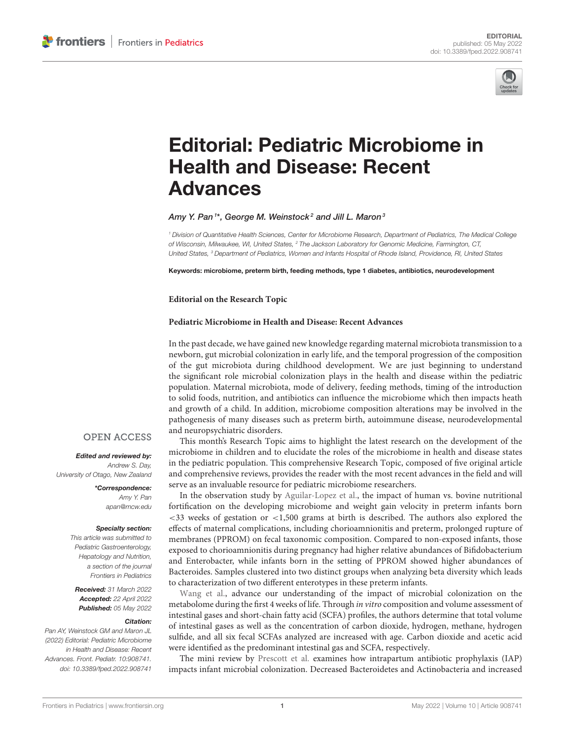

# [Editorial: Pediatric Microbiome in](https://www.frontiersin.org/articles/10.3389/fped.2022.908741/full) Health and Disease: Recent Advances

Amy Y. Pan $^{1*}$ , George M. Weinstock $^{\mathsf{2}}$  and Jill L. Maron $^{\mathsf{3}}$ 

*<sup>1</sup> Division of Quantitative Health Sciences, Center for Microbiome Research, Department of Pediatrics, The Medical College of Wisconsin, Milwaukee, WI, United States, <sup>2</sup> The Jackson Laboratory for Genomic Medicine, Farmington, CT, United States, <sup>3</sup> Department of Pediatrics, Women and Infants Hospital of Rhode Island, Providence, RI, United States*

Keywords: microbiome, preterm birth, feeding methods, type 1 diabetes, antibiotics, neurodevelopment

#### **Editorial on the Research Topic**

#### **[Pediatric Microbiome in Health and Disease: Recent Advances](https://www.frontiersin.org/research-topics/21319/pediatric-microbiome-in-health-and-disease-recent-advances)**

In the past decade, we have gained new knowledge regarding maternal microbiota transmission to a newborn, gut microbial colonization in early life, and the temporal progression of the composition of the gut microbiota during childhood development. We are just beginning to understand the significant role microbial colonization plays in the health and disease within the pediatric population. Maternal microbiota, mode of delivery, feeding methods, timing of the introduction to solid foods, nutrition, and antibiotics can influence the microbiome which then impacts heath and growth of a child. In addition, microbiome composition alterations may be involved in the pathogenesis of many diseases such as preterm birth, autoimmune disease, neurodevelopmental and neuropsychiatric disorders.

This month's Research Topic aims to highlight the latest research on the development of the microbiome in children and to elucidate the roles of the microbiome in health and disease states in the pediatric population. This comprehensive Research Topic, composed of five original article and comprehensive reviews, provides the reader with the most recent advances in the field and will serve as an invaluable resource for pediatric microbiome researchers.

In the observation study by [Aguilar-Lopez et al.,](https://doi.org/10.3389/fped.2021.719096) the impact of human vs. bovine nutritional fortification on the developing microbiome and weight gain velocity in preterm infants born <33 weeks of gestation or <1,500 grams at birth is described. The authors also explored the effects of maternal complications, including chorioamnionitis and preterm, prolonged rupture of membranes (PPROM) on fecal taxonomic composition. Compared to non-exposed infants, those exposed to chorioamnionitis during pregnancy had higher relative abundances of Bifidobacterium and Enterobacter, while infants born in the setting of PPROM showed higher abundances of Bacteroides. Samples clustered into two distinct groups when analyzing beta diversity which leads to characterization of two different enterotypes in these preterm infants.

[Wang et al.,](https://doi.org/10.3389/fped.2021.726193) advance our understanding of the impact of microbial colonization on the metabolome during the first 4 weeks of life. Through in vitro composition and volume assessment of intestinal gases and short-chain fatty acid (SCFA) profiles, the authors determine that total volume of intestinal gases as well as the concentration of carbon dioxide, hydrogen, methane, hydrogen sulfide, and all six fecal SCFAs analyzed are increased with age. Carbon dioxide and acetic acid were identified as the predominant intestinal gas and SCFA, respectively.

The mini review by [Prescott et al.](https://doi.org/10.3389/fped.2021.754013) examines how intrapartum antibiotic prophylaxis (IAP) impacts infant microbial colonization. Decreased Bacteroidetes and Actinobacteria and increased

### **OPEN ACCESS**

### Edited and reviewed by:

*Andrew S. Day, University of Otago, New Zealand*

> \*Correspondence: *Amy Y. Pan [apan@mcw.edu](mailto:apan@mcw.edu)*

#### Specialty section:

*This article was submitted to Pediatric Gastroenterology, Hepatology and Nutrition, a section of the journal Frontiers in Pediatrics*

Received: *31 March 2022* Accepted: *22 April 2022* Published: *05 May 2022*

#### Citation:

*Pan AY, Weinstock GM and Maron JL (2022) Editorial: Pediatric Microbiome in Health and Disease: Recent Advances. Front. Pediatr. 10:908741. doi: [10.3389/fped.2022.908741](https://doi.org/10.3389/fped.2022.908741)*